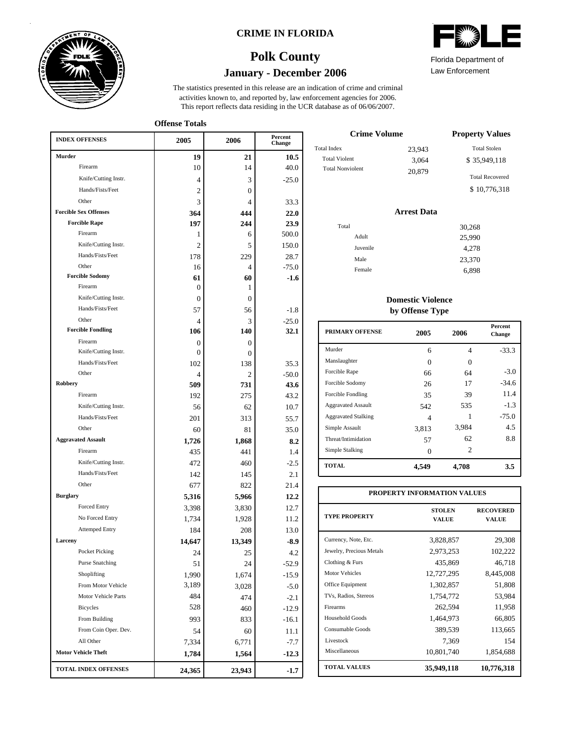

### **CRIME IN FLORIDA**

# **January - December 2006 Polk County**

This report reflects data residing in the UCR database as of 06/06/2007. activities known to, and reported by, law enforcement agencies for 2006. The statistics presented in this release are an indication of crime and criminal

**Offense Totals**

| <b>INDEX OFFENSES</b>        | 2005         | 2006           | Percent<br>Change |
|------------------------------|--------------|----------------|-------------------|
| <b>Murder</b>                | 19           | 21             | 10.5              |
| Firearm                      | 10           | 14             | 40.0              |
| Knife/Cutting Instr.         | 4            | 3              | $-25.0$           |
| Hands/Fists/Feet             | 2            | 0              |                   |
| Other                        | 3            | 4              | 33.3              |
| <b>Forcible Sex Offenses</b> | 364          | 444            | 22.0              |
| <b>Forcible Rape</b>         | 197          | 244            | 23.9              |
| Firearm                      | 1            | 6              | 500.0             |
| Knife/Cutting Instr.         | 2            | 5              | 150.0             |
| Hands/Fists/Feet             | 178          | 229            | 28.7              |
| Other                        | 16           | 4              | $-75.0$           |
| <b>Forcible Sodomy</b>       | 61           | 60             | $-1.6$            |
| Firearm                      | 0            | 1              |                   |
| Knife/Cutting Instr.         | 0            | $\overline{0}$ |                   |
| Hands/Fists/Feet             | 57           | 56             | $-1.8$            |
| Other                        | 4            | 3              | $-25.0$           |
| <b>Forcible Fondling</b>     | 106          | 140            | 32.1              |
| Firearm                      | 0            | $\Omega$       |                   |
| Knife/Cutting Instr.         | $\mathbf{0}$ | $\Omega$       |                   |
| Hands/Fists/Feet             | 102          | 138            | 35.3              |
| Other                        | 4            | $\overline{c}$ | $-50.0$           |
| Robbery                      | 509          | 731            | 43.6              |
| Firearm                      | 192          | 275            | 43.2              |
| Knife/Cutting Instr.         | 56           | 62             | 10.7              |
| Hands/Fists/Feet             | 201          | 313            | 55.7              |
| Other                        | 60           | 81             | 35.0              |
| <b>Aggravated Assault</b>    | 1,726        | 1,868          | 8.2               |
| Firearm                      | 435          | 441            | 1.4               |
| Knife/Cutting Instr.         | 472          | 460            | $-2.5$            |
| Hands/Fists/Feet             | 142          | 145            | 2.1               |
| Other                        | 677          | 822            | 21.4              |
| <b>Burglary</b>              | 5,316        | 5,966          | 12.2              |
| <b>Forced Entry</b>          | 3,398        | 3,830          | 12.7              |
| No Forced Entry              | 1,734        | 1,928          | 11.2              |
| <b>Attemped Entry</b>        | 184          | 208            | 13.0              |
| Larceny                      | 14,647       | 13,349         | -8.9              |
| Pocket Picking               | 24           | 25             | 4.2               |
| <b>Purse Snatching</b>       | 51           | 24             | -52.9             |
| Shoplifting                  | 1,990        | 1,674          | $-15.9$           |
| From Motor Vehicle           | 3,189        | 3,028          | $-5.0$            |
| Motor Vehicle Parts          | 484          | 474            | $-2.1$            |
| <b>Bicycles</b>              | 528          | 460            | $-12.9$           |
| From Building                | 993          | 833            | $-16.1$           |
| From Coin Oper. Dev.         | 54           | 60             | 11.1              |
| All Other                    | 7,334        | 6,771          | $-7.7$            |
| <b>Motor Vehicle Theft</b>   | 1,784        | 1,564          | $-12.3$           |
| <b>TOTAL INDEX OFFENSES</b>  | 24,365       | 23,943         | $-1.7$            |

| Florida Department of |  |
|-----------------------|--|

Law Enforcement

| <b>Crime Volume</b>     | <b>Property Values</b> |                        |
|-------------------------|------------------------|------------------------|
| Total Index             | 23.943                 | <b>Total Stolen</b>    |
| <b>Total Violent</b>    | 3.064                  | \$35,949,118           |
| <b>Total Nonviolent</b> | 20,879                 | <b>Total Recovered</b> |
|                         |                        | \$10,776,318           |

### **Arrest Data**

| Total |          | 30,268 |
|-------|----------|--------|
|       | Adult    | 25,990 |
|       | Juvenile | 4,278  |
|       | Male     | 23,370 |
|       | Female   | 6,898  |
|       |          |        |

### **Domestic Violence by Offense Type**

| <b>PRIMARY OFFENSE</b>     | 2005     | 2006  | <b>Percent</b><br>Change |
|----------------------------|----------|-------|--------------------------|
| Murder                     | 6        | 4     | $-33.3$                  |
| Manslaughter               | $\Omega$ | 0     |                          |
| Forcible Rape              | 66       | 64    | $-3.0$                   |
| Forcible Sodomy            | 26       | 17    | $-34.6$                  |
| Forcible Fondling          | 35       | 39    | 11.4                     |
| <b>Aggravated Assault</b>  | 542      | 535   | $-1.3$                   |
| <b>Aggravated Stalking</b> | 4        |       | $-75.0$                  |
| Simple Assault             | 3,813    | 3,984 | 4.5                      |
| Threat/Intimidation        | 57       | 62    | 8.8                      |
| Simple Stalking            | $\Omega$ | 2     |                          |
| <b>TOTAL</b>               | 4,549    | 4,708 | 3.5                      |

| PROPERTY INFORMATION VALUES |                               |                                  |  |  |  |  |  |
|-----------------------------|-------------------------------|----------------------------------|--|--|--|--|--|
| <b>TYPE PROPERTY</b>        | <b>STOLEN</b><br><b>VALUE</b> | <b>RECOVERED</b><br><b>VALUE</b> |  |  |  |  |  |
| Currency, Note, Etc.        | 3,828,857                     | 29,308                           |  |  |  |  |  |
| Jewelry, Precious Metals    | 2,973,253                     | 102,222                          |  |  |  |  |  |
| Clothing & Furs             | 435,869                       | 46,718                           |  |  |  |  |  |
| Motor Vehicles              | 12,727,295                    | 8,445,008                        |  |  |  |  |  |
| Office Equipment            | 1,302,857                     | 51,808                           |  |  |  |  |  |
| TVs, Radios, Stereos        | 1,754,772                     | 53,984                           |  |  |  |  |  |
| Firearms                    | 262,594                       | 11,958                           |  |  |  |  |  |
| Household Goods             | 1,464,973                     | 66,805                           |  |  |  |  |  |
| Consumable Goods            | 389,539                       | 113,665                          |  |  |  |  |  |
| Livestock                   | 7,369                         | 154                              |  |  |  |  |  |
| Miscellaneous               | 10,801,740                    | 1,854,688                        |  |  |  |  |  |
| <b>TOTAL VALUES</b>         | 35,949,118                    | 10,776,318                       |  |  |  |  |  |